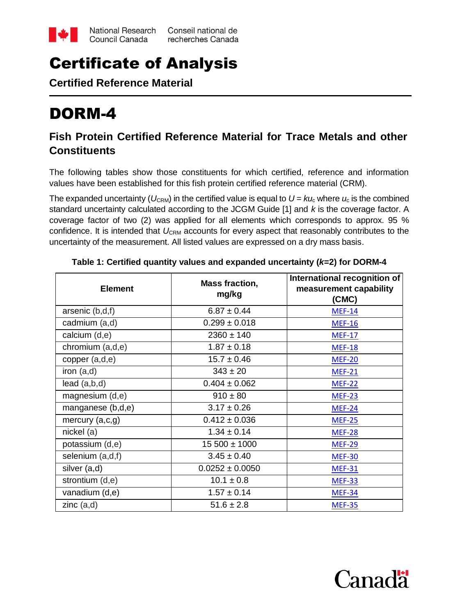

## Certificate of Analysis

**Certified Reference Material**

## DORM-4

### **Fish Protein Certified Reference Material for Trace Metals and other Constituents**

The following tables show those constituents for which certified, reference and information values have been established for this fish protein certified reference material (CRM).

The expanded uncertainty ( $U_{\text{CRM}}$ ) in the certified value is equal to  $U = k u_c$  where  $u_c$  is the combined standard uncertainty calculated according to the JCGM Guide [1] and *k* is the coverage factor. A coverage factor of two (2) was applied for all elements which corresponds to approx. 95 % confidence. It is intended that *U<sub>CRM</sub>* accounts for every aspect that reasonably contributes to the uncertainty of the measurement. All listed values are expressed on a dry mass basis.

| <b>Element</b>      | <b>Mass fraction,</b><br>mg/kg | International recognition of<br>measurement capability<br>(CMC) |  |
|---------------------|--------------------------------|-----------------------------------------------------------------|--|
| arsenic (b,d,f)     | $6.87 \pm 0.44$                | <b>MEF-14</b>                                                   |  |
| cadmium (a,d)       | $0.299 \pm 0.018$              | <b>MEF-16</b>                                                   |  |
| calcium (d,e)       | $2360 \pm 140$                 | <b>MEF-17</b>                                                   |  |
| chromium (a,d,e)    | $1.87 \pm 0.18$                | <b>MEF-18</b>                                                   |  |
| copper (a,d,e)      | $15.7 \pm 0.46$                | <b>MEF-20</b>                                                   |  |
| iron $(a,d)$        | $343 \pm 20$                   | <b>MEF-21</b>                                                   |  |
| lead(a,b,d)         | $0.404 \pm 0.062$              | <b>MEF-22</b>                                                   |  |
| magnesium (d,e)     | $910 \pm 80$                   | <b>MEF-23</b>                                                   |  |
| manganese (b,d,e)   | $3.17 \pm 0.26$                | <b>MEF-24</b>                                                   |  |
| mercury $(a, c, g)$ | $0.412 \pm 0.036$              | <b>MEF-25</b>                                                   |  |
| nickel (a)          | $1.34 \pm 0.14$                | <b>MEF-28</b>                                                   |  |
| potassium (d,e)     | $15500 \pm 1000$               | <b>MEF-29</b>                                                   |  |
| selenium (a,d,f)    | $3.45 \pm 0.40$                | <b>MEF-30</b>                                                   |  |
| silver (a,d)        | $0.0252 \pm 0.0050$            | <b>MEF-31</b>                                                   |  |
| strontium (d,e)     | $10.1 \pm 0.8$                 | <b>MEF-33</b>                                                   |  |
| vanadium (d,e)      | $1.57 \pm 0.14$                | <b>MEF-34</b>                                                   |  |
| zinc(a,d)           | $51.6 \pm 2.8$                 | <b>MEF-35</b>                                                   |  |

**Table 1: Certified quantity values and expanded uncertainty (***k***=2) for DORM-4**

# Canadä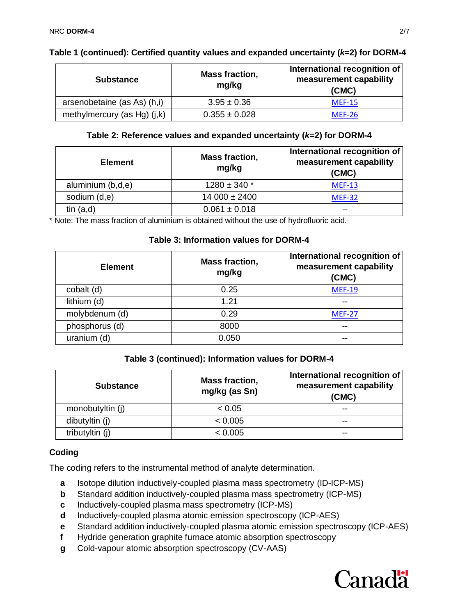| <b>Substance</b>               | Mass fraction,<br>mg/kg | International recognition of<br>measurement capability<br>(CMC) |
|--------------------------------|-------------------------|-----------------------------------------------------------------|
| arsenobetaine (as As) (h,i)    | $3.95 \pm 0.36$         | <b>MEF-15</b>                                                   |
| methylmercury (as $Hg$ ) (j,k) | $0.355 \pm 0.028$       | <b>MEF-26</b>                                                   |

#### **Table 1 (continued): Certified quantity values and expanded uncertainty (***k***=2) for DORM-4**

#### **Table 2: Reference values and expanded uncertainty (***k***=2) for DORM-4**

| <b>Element</b>    | Mass fraction,<br>mg/kg | International recognition of<br>measurement capability<br>(CMC) |
|-------------------|-------------------------|-----------------------------------------------------------------|
| aluminium (b,d,e) | $1280 \pm 340$ *        | <b>MEF-13</b>                                                   |
| sodium (d,e)      | $14000 \pm 2400$        | <b>MEF-32</b>                                                   |
| tin $(a,d)$       | $0.061 \pm 0.018$       | --                                                              |

\* Note: The mass fraction of aluminium is obtained without the use of hydrofluoric acid.

#### **Table 3: Information values for DORM-4**

| <b>Element</b> | Mass fraction,<br>mg/kg | International recognition of<br>measurement capability<br>(CMC) |
|----------------|-------------------------|-----------------------------------------------------------------|
| cobalt (d)     | 0.25                    | <b>MEF-19</b>                                                   |
| lithium (d)    | 1.21                    | $- -$                                                           |
| molybdenum (d) | 0.29                    | <b>MEF-27</b>                                                   |
| phosphorus (d) | 8000                    | --                                                              |
| uranium (d)    | 0.050                   |                                                                 |

#### **Table 3 (continued): Information values for DORM-4**

| <b>Substance</b> | Mass fraction,<br>mg/kg (as Sn) | International recognition of<br>measurement capability<br>(CMC) |
|------------------|---------------------------------|-----------------------------------------------------------------|
| monobutyltin (j) | < 0.05                          | --                                                              |
| dibutyltin (j)   | < 0.005                         | --                                                              |
| tributyltin (j)  | < 0.005                         | --                                                              |

#### **Coding**

The coding refers to the instrumental method of analyte determination.

- **a** Isotope dilution inductively-coupled plasma mass spectrometry (ID-ICP-MS)
- **b** Standard addition inductively-coupled plasma mass spectrometry (ICP-MS)
- **c** Inductively-coupled plasma mass spectrometry (ICP-MS)
- **d** Inductively-coupled plasma atomic emission spectroscopy (ICP-AES)
- **e** Standard addition inductively-coupled plasma atomic emission spectroscopy (ICP-AES)
- **f** Hydride generation graphite furnace atomic absorption spectroscopy
- **g** Cold-vapour atomic absorption spectroscopy (CV-AAS)

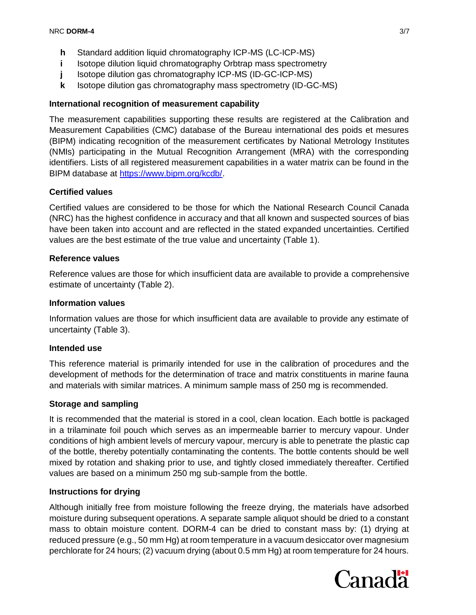- **h** Standard addition liquid chromatography ICP-MS (LC-ICP-MS)
- **i** Isotope dilution liquid chromatography Orbtrap mass spectrometry
- **j** Isotope dilution gas chromatography ICP-MS (ID-GC-ICP-MS)
- **k** Isotope dilution gas chromatography mass spectrometry (ID-GC-MS)

#### **International recognition of measurement capability**

The measurement capabilities supporting these results are registered at the Calibration and Measurement Capabilities (CMC) database of the Bureau international des poids et mesures (BIPM) indicating recognition of the measurement certificates by National Metrology Institutes (NMIs) participating in the Mutual Recognition Arrangement (MRA) with the corresponding identifiers. Lists of all registered measurement capabilities in a water matrix can be found in the BIPM database at [https://www.bipm.org/kcdb/.](https://www.bipm.org/kcdb/)

#### **Certified values**

Certified values are considered to be those for which the National Research Council Canada (NRC) has the highest confidence in accuracy and that all known and suspected sources of bias have been taken into account and are reflected in the stated expanded uncertainties. Certified values are the best estimate of the true value and uncertainty (Table 1).

#### **Reference values**

Reference values are those for which insufficient data are available to provide a comprehensive estimate of uncertainty (Table 2).

#### **Information values**

Information values are those for which insufficient data are available to provide any estimate of uncertainty (Table 3).

#### **Intended use**

This reference material is primarily intended for use in the calibration of procedures and the development of methods for the determination of trace and matrix constituents in marine fauna and materials with similar matrices. A minimum sample mass of 250 mg is recommended.

#### **Storage and sampling**

It is recommended that the material is stored in a cool, clean location. Each bottle is packaged in a trilaminate foil pouch which serves as an impermeable barrier to mercury vapour. Under conditions of high ambient levels of mercury vapour, mercury is able to penetrate the plastic cap of the bottle, thereby potentially contaminating the contents. The bottle contents should be well mixed by rotation and shaking prior to use, and tightly closed immediately thereafter. Certified values are based on a minimum 250 mg sub-sample from the bottle.

#### **Instructions for drying**

Although initially free from moisture following the freeze drying, the materials have adsorbed moisture during subsequent operations. A separate sample aliquot should be dried to a constant mass to obtain moisture content. DORM-4 can be dried to constant mass by: (1) drying at reduced pressure (e.g., 50 mm Hg) at room temperature in a vacuum desiccator over magnesium perchlorate for 24 hours; (2) vacuum drying (about 0.5 mm Hg) at room temperature for 24 hours.

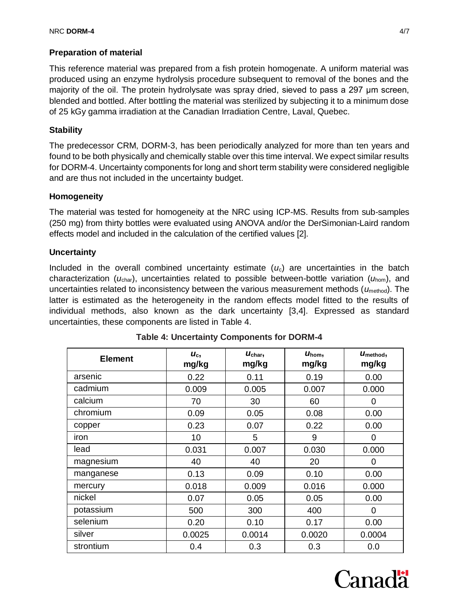#### **Preparation of material**

This reference material was prepared from a fish protein homogenate. A uniform material was produced using an enzyme hydrolysis procedure subsequent to removal of the bones and the majority of the oil. The protein hydrolysate was spray dried, sieved to pass a 297 μm screen, blended and bottled. After bottling the material was sterilized by subjecting it to a minimum dose of 25 kGy gamma irradiation at the Canadian Irradiation Centre, Laval, Quebec.

#### **Stability**

The predecessor CRM, DORM-3, has been periodically analyzed for more than ten years and found to be both physically and chemically stable over this time interval. We expect similar results for DORM-4. Uncertainty components for long and short term stability were considered negligible and are thus not included in the uncertainty budget.

#### **Homogeneity**

The material was tested for homogeneity at the NRC using ICP-MS. Results from sub-samples (250 mg) from thirty bottles were evaluated using ANOVA and/or the DerSimonian-Laird random effects model and included in the calculation of the certified values [2].

#### **Uncertainty**

Included in the overall combined uncertainty estimate  $(u<sub>c</sub>)$  are uncertainties in the batch characterization ( $u_{\text{char}}$ ), uncertainties related to possible between-bottle variation ( $u_{\text{hom}}$ ), and uncertainties related to inconsistency between the various measurement methods (*u*method). The latter is estimated as the heterogeneity in the random effects model fitted to the results of individual methods, also known as the dark uncertainty [3,4]. Expressed as standard uncertainties, these components are listed in Table 4.

| <b>Element</b> | $U_{\rm c}$<br>mg/kg | Uchar,<br>mg/kg | U <sub>hom</sub><br>mg/kg | Umethod,<br>mg/kg |
|----------------|----------------------|-----------------|---------------------------|-------------------|
| arsenic        | 0.22                 | 0.11            | 0.19                      | 0.00              |
| cadmium        | 0.009                | 0.005           | 0.007                     | 0.000             |
| calcium        | 70                   | 30              | 60                        | 0                 |
| chromium       | 0.09                 | 0.05            | 0.08                      | 0.00              |
| copper         | 0.23                 | 0.07            | 0.22                      | 0.00              |
| iron           | 10                   | 5               | 9                         | 0                 |
| lead           | 0.031                | 0.007           | 0.030                     | 0.000             |
| magnesium      | 40                   | 40              | 20                        | $\Omega$          |
| manganese      | 0.13                 | 0.09            | 0.10                      | 0.00              |
| mercury        | 0.018                | 0.009           | 0.016                     | 0.000             |
| nickel         | 0.07                 | 0.05            | 0.05                      | 0.00              |
| potassium      | 500                  | 300             | 400                       | 0                 |
| selenium       | 0.20                 | 0.10            | 0.17                      | 0.00              |
| silver         | 0.0025               | 0.0014          | 0.0020                    | 0.0004            |
| strontium      | 0.4                  | 0.3             | 0.3                       | 0.0               |

#### **Table 4: Uncertainty Components for DORM-4**

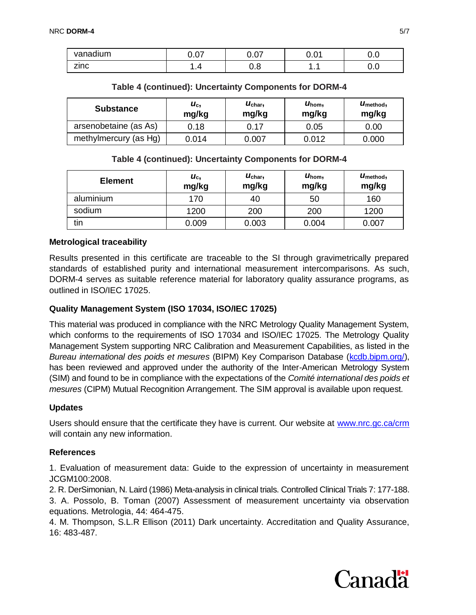| . .      | $\sim$ | $\sim$ | $\sim$ | v.u |
|----------|--------|--------|--------|-----|
| vanadium | v.v.   | v.v,   | v.v i  |     |
| zinc     | .      | v.v    | .      | ∪.∪ |

#### **Table 4 (continued): Uncertainty Components for DORM-4**

| <b>Substance</b>      | $U_{\rm c}$<br>mg/kg | $U_{\rm char}$<br>mg/kg | $U_{\text{hom}}$<br>mg/kg | $U_{\text{method}}$<br>mg/kg |
|-----------------------|----------------------|-------------------------|---------------------------|------------------------------|
| arsenobetaine (as As) | 0.18                 | 0.17                    | 0.05                      | 0.00                         |
| methylmercury (as Hg) | 0.014                | 0.007                   | 0.012                     | 0.000                        |

#### **Table 4 (continued): Uncertainty Components for DORM-4**

| <b>Element</b> | u <sub>c</sub> ,<br>mg/kg | $U_{\rm char}$<br>mg/kg | $U_{\text{hom}}$<br>mg/kg | $U_{\text{method}}$<br>mg/kg |
|----------------|---------------------------|-------------------------|---------------------------|------------------------------|
| aluminium      | 170                       | 40                      | 50                        | 160                          |
| sodium         | 1200                      | 200                     | 200                       | 1200                         |
| tin            | 0.009                     | 0.003                   | 0.004                     | 0.007                        |

#### **Metrological traceability**

Results presented in this certificate are traceable to the SI through gravimetrically prepared standards of established purity and international measurement intercomparisons. As such, DORM-4 serves as suitable reference material for laboratory quality assurance programs, as outlined in ISO/IEC 17025.

#### **Quality Management System (ISO 17034, ISO/IEC 17025)**

This material was produced in compliance with the NRC Metrology Quality Management System, which conforms to the requirements of ISO 17034 and ISO/IEC 17025. The Metrology Quality Management System supporting NRC Calibration and Measurement Capabilities, as listed in the *Bureau international des poids et mesures* (BIPM) Key Comparison Database [\(kcdb.bipm.org/\)](http://kcdb.bipm.org/), has been reviewed and approved under the authority of the Inter-American Metrology System (SIM) and found to be in compliance with the expectations of the *Comité international des poids et mesures* (CIPM) Mutual Recognition Arrangement. The SIM approval is available upon request.

#### **Updates**

Users should ensure that the certificate they have is current. Our website at [www.nrc.gc.ca/crm](http://www.nrc.gc.ca/crm) will contain any new information.

#### **References**

1. Evaluation of measurement data: Guide to the expression of uncertainty in measurement JCGM100:2008.

2. R. DerSimonian, N. Laird (1986) Meta-analysis in clinical trials. Controlled Clinical Trials 7: 177-188.

3. A. Possolo, B. Toman (2007) Assessment of measurement uncertainty via observation equations. Metrologia, 44: 464-475.

4. M. Thompson, S.L.R Ellison (2011) Dark uncertainty. Accreditation and Quality Assurance, 16: 483-487.

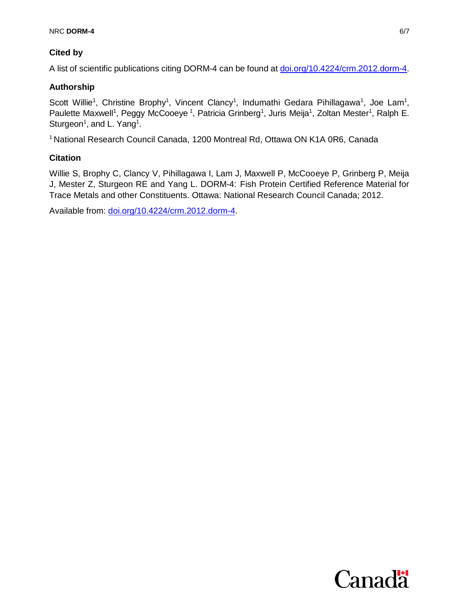#### **Cited by**

A list of scientific publications citing DORM-4 can be found at [doi.org/10.4224/crm.2012.dorm-4.](https://doi.org/10.4224/crm.2012.dorm-4)

#### **Authorship**

Scott Willie<sup>1</sup>, Christine Brophy<sup>1</sup>, Vincent Clancy<sup>1</sup>, Indumathi Gedara Pihillagawa<sup>1</sup>, Joe Lam<sup>1</sup>, Paulette Maxwell<sup>1</sup>, Peggy McCooeye<sup>1</sup>, Patricia Grinberg<sup>1</sup>, Juris Meija<sup>1</sup>, Zoltan Mester<sup>1</sup>, Ralph E. Sturgeon<sup>1</sup>, and L. Yang<sup>1</sup>.

<sup>1</sup> National Research Council Canada, 1200 Montreal Rd, Ottawa ON K1A 0R6, Canada

#### **Citation**

Willie S, Brophy C, Clancy V, Pihillagawa I, Lam J, Maxwell P, McCooeye P, Grinberg P, Meija J, Mester Z, Sturgeon RE and Yang L. DORM-4: Fish Protein Certified Reference Material for Trace Metals and other Constituents. Ottawa: National Research Council Canada; 2012.

Available from: [doi.org/10.4224/crm.2012.dorm-4](https://doi.org/10.4224/crm.2012.dorm-4).